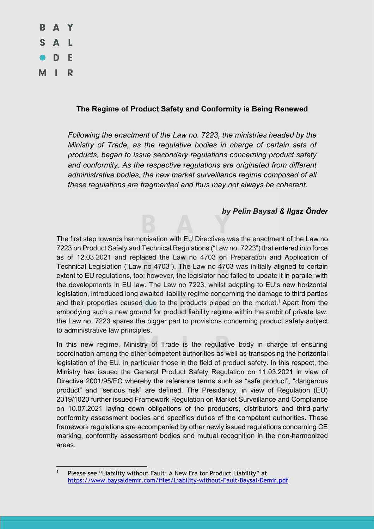

## **The Regime of Product Safety and Conformity is Being Renewed**

*Following the enactment of the Law no. 7223, the ministries headed by the Ministry of Trade, as the regulative bodies in charge of certain sets of products, began to issue secondary regulations concerning product safety and conformity. As the respective regulations are originated from different administrative bodies, the new market surveillance regime composed of all these regulations are fragmented and thus may not always be coherent.* 

## *by Pelin Baysal & Ilgaz Önder*

The first step towards harmonisation with EU Directives was the enactment of the Law no 7223 on Product Safety and Technical Regulations ("Law no. 7223") that entered into force as of 12.03.2021 and replaced the Law no 4703 on Preparation and Application of Technical Legislation ("Law no 4703"). The Law no 4703 was initially aligned to certain extent to EU regulations, too; however, the legislator had failed to update it in parallel with the developments in EU law. The Law no 7223, whilst adapting to EU's new horizontal legislation, introduced long awaited liability regime concerning the damage to third parties and their properties caused due to the products placed on the market.<sup>1</sup> Apart from the embodying such a new ground for product liability regime within the ambit of private law, the Law no. 7223 spares the bigger part to provisions concerning product safety subject to administrative law principles.

In this new regime, Ministry of Trade is the regulative body in charge of ensuring coordination among the other competent authorities as well as transposing the horizontal legislation of the EU, in particular those in the field of product safety. In this respect, the Ministry has issued the General Product Safety Regulation on 11.03.2021 in view of Directive 2001/95/EC whereby the reference terms such as "safe product", "dangerous product" and "serious risk" are defined. The Presidency, in view of Regulation (EU) 2019/1020 further issued Framework Regulation on Market Surveillance and Compliance on 10.07.2021 laying down obligations of the producers, distributors and third-party conformity assessment bodies and specifies duties of the competent authorities. These framework regulations are accompanied by other newly issued regulations concerning CE marking, conformity assessment bodies and mutual recognition in the non-harmonized areas.

 $\overline{a}$ <sup>1</sup> Please see "Liability without Fault: A New Era for Product Liability" at https://www.baysaldemir.com/files/Liability-without-Fault-Baysal-Demir.pdf